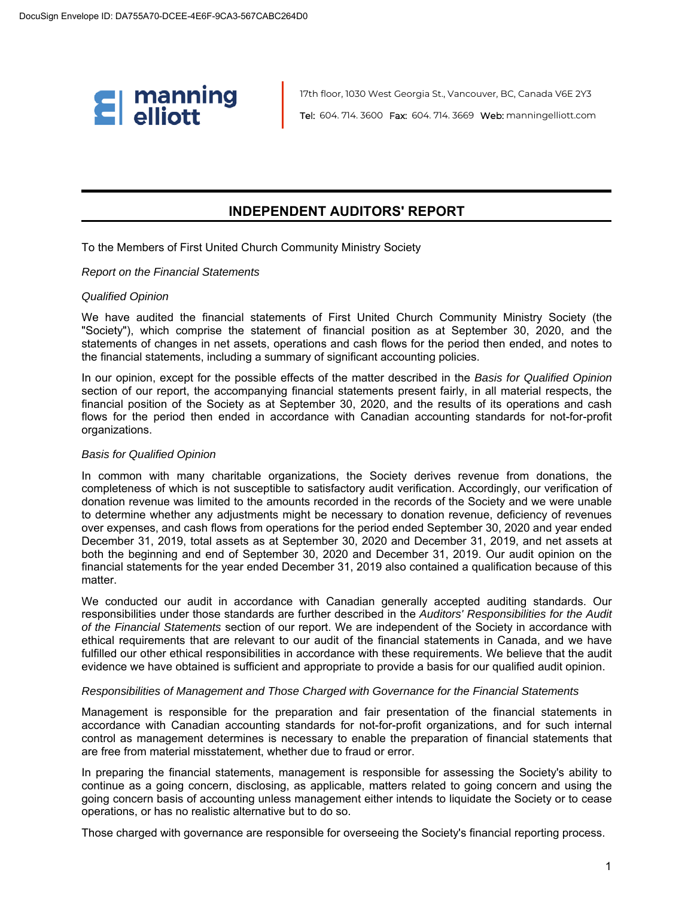

17th floor, 1030 West Georgia St., Vancouver, BC, Canada V6E 2Y3 Tel: 604. 714. 3600 Fax: 604. 714. 3669 Web: manningelliott.com

## **INDEPENDENT AUDITORS' REPORT**

To the Members of First United Church Community Ministry Society

#### *Report on the Financial Statements*

#### *Qualified Opinion*

We have audited the financial statements of First United Church Community Ministry Society (the "Society"), which comprise the statement of financial position as at September 30, 2020, and the statements of changes in net assets, operations and cash flows for the period then ended, and notes to the financial statements, including a summary of significant accounting policies.

In our opinion, except for the possible effects of the matter described in the *Basis for Qualified Opinion* section of our report, the accompanying financial statements present fairly, in all material respects, the financial position of the Society as at September 30, 2020, and the results of its operations and cash flows for the period then ended in accordance with Canadian accounting standards for not-for-profit organizations.

#### *Basis for Qualified Opinion*

In common with many charitable organizations, the Society derives revenue from donations, the completeness of which is not susceptible to satisfactory audit verification. Accordingly, our verification of donation revenue was limited to the amounts recorded in the records of the Society and we were unable to determine whether any adjustments might be necessary to donation revenue, deficiency of revenues over expenses, and cash flows from operations for the period ended September 30, 2020 and year ended December 31, 2019, total assets as at September 30, 2020 and December 31, 2019, and net assets at both the beginning and end of September 30, 2020 and December 31, 2019. Our audit opinion on the financial statements for the year ended December 31, 2019 also contained a qualification because of this matter.

We conducted our audit in accordance with Canadian generally accepted auditing standards. Our responsibilities under those standards are further described in the *Auditors' Responsibilities for the Audit of the Financial Statements* section of our report. We are independent of the Society in accordance with ethical requirements that are relevant to our audit of the financial statements in Canada, and we have fulfilled our other ethical responsibilities in accordance with these requirements. We believe that the audit evidence we have obtained is sufficient and appropriate to provide a basis for our qualified audit opinion.

#### *Responsibilities of Management and Those Charged with Governance for the Financial Statements*

Management is responsible for the preparation and fair presentation of the financial statements in accordance with Canadian accounting standards for not-for-profit organizations, and for such internal control as management determines is necessary to enable the preparation of financial statements that are free from material misstatement, whether due to fraud or error.

In preparing the financial statements, management is responsible for assessing the Society's ability to continue as a going concern, disclosing, as applicable, matters related to going concern and using the going concern basis of accounting unless management either intends to liquidate the Society or to cease operations, or has no realistic alternative but to do so.

Those charged with governance are responsible for overseeing the Society's financial reporting process.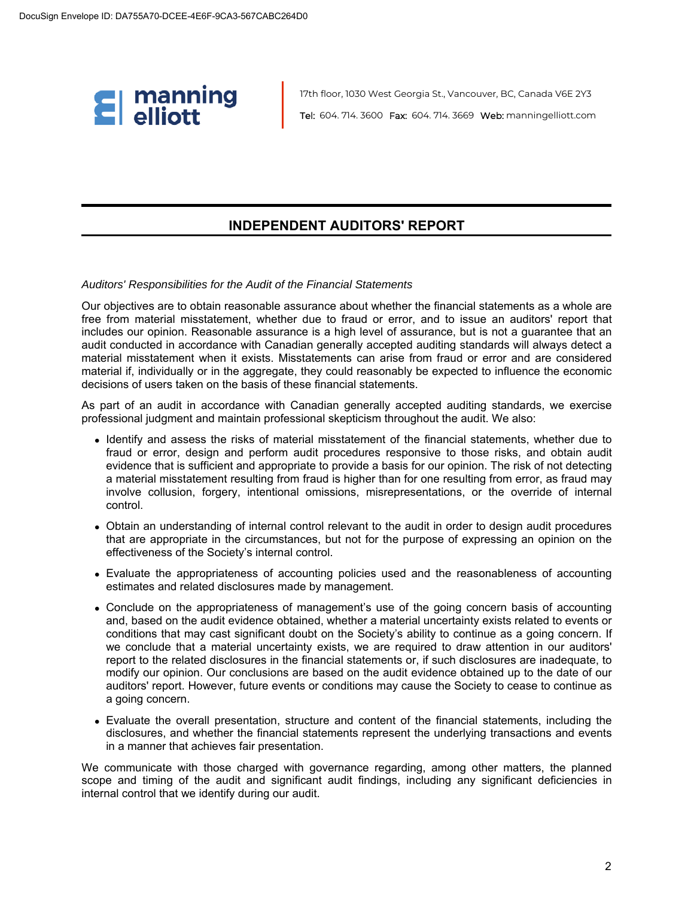

17th floor, 1030 West Georgia St., Vancouver, BC, Canada V6E 2Y3 Tel: 604. 714. 3600 Fax: 604. 714. 3669 Web: manningelliott.com

### **INDEPENDENT AUDITORS' REPORT**

### *Auditors' Responsibilities for the Audit of the Financial Statements*

Our objectives are to obtain reasonable assurance about whether the financial statements as a whole are free from material misstatement, whether due to fraud or error, and to issue an auditors' report that includes our opinion. Reasonable assurance is a high level of assurance, but is not a guarantee that an audit conducted in accordance with Canadian generally accepted auditing standards will always detect a material misstatement when it exists. Misstatements can arise from fraud or error and are considered material if, individually or in the aggregate, they could reasonably be expected to influence the economic decisions of users taken on the basis of these financial statements.

As part of an audit in accordance with Canadian generally accepted auditing standards, we exercise professional judgment and maintain professional skepticism throughout the audit. We also:

- Identify and assess the risks of material misstatement of the financial statements, whether due to fraud or error, design and perform audit procedures responsive to those risks, and obtain audit evidence that is sufficient and appropriate to provide a basis for our opinion. The risk of not detecting a material misstatement resulting from fraud is higher than for one resulting from error, as fraud may involve collusion, forgery, intentional omissions, misrepresentations, or the override of internal control.
- Obtain an understanding of internal control relevant to the audit in order to design audit procedures that are appropriate in the circumstances, but not for the purpose of expressing an opinion on the effectiveness of the Society's internal control.
- Evaluate the appropriateness of accounting policies used and the reasonableness of accounting estimates and related disclosures made by management.
- Conclude on the appropriateness of management's use of the going concern basis of accounting and, based on the audit evidence obtained, whether a material uncertainty exists related to events or conditions that may cast significant doubt on the Society's ability to continue as a going concern. If we conclude that a material uncertainty exists, we are required to draw attention in our auditors' report to the related disclosures in the financial statements or, if such disclosures are inadequate, to modify our opinion. Our conclusions are based on the audit evidence obtained up to the date of our auditors' report. However, future events or conditions may cause the Society to cease to continue as a going concern.
- Evaluate the overall presentation, structure and content of the financial statements, including the disclosures, and whether the financial statements represent the underlying transactions and events in a manner that achieves fair presentation.

We communicate with those charged with governance regarding, among other matters, the planned scope and timing of the audit and significant audit findings, including any significant deficiencies in internal control that we identify during our audit.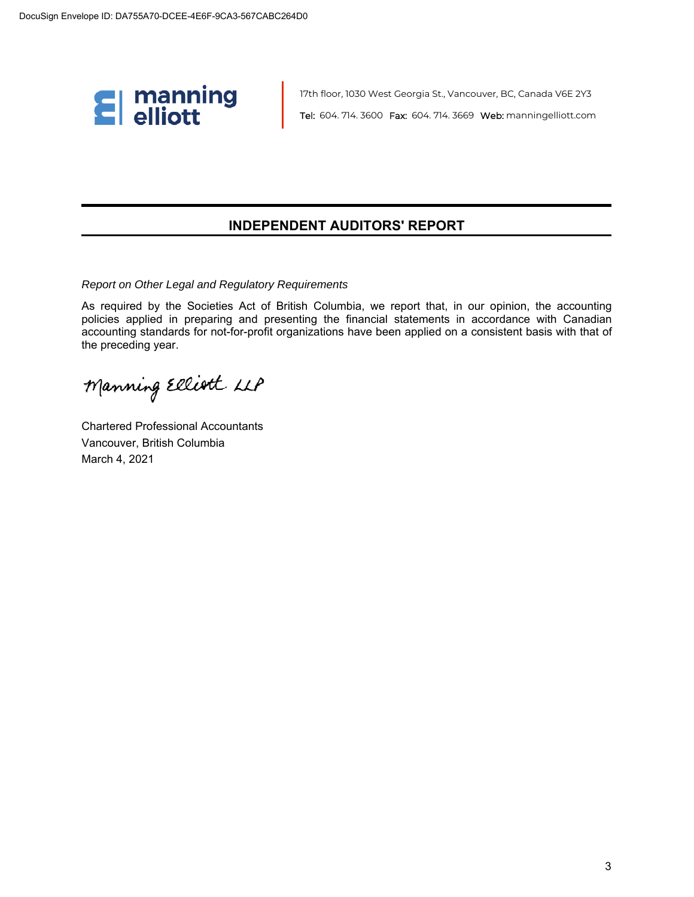

17th floor, 1030 West Georgia St., Vancouver, BC, Canada V6E 2Y3 Tel: 604. 714. 3600 Fax: 604. 714. 3669 Web: manningelliott.com

### **INDEPENDENT AUDITORS' REPORT**

*Report on Other Legal and Regulatory Requirements*

As required by the Societies Act of British Columbia, we report that, in our opinion, the accounting policies applied in preparing and presenting the financial statements in accordance with Canadian accounting standards for not-for-profit organizations have been applied on a consistent basis with that of the preceding year.

Manning Elliott LLP

Chartered Professional Accountants Vancouver, British Columbia March 4, 2021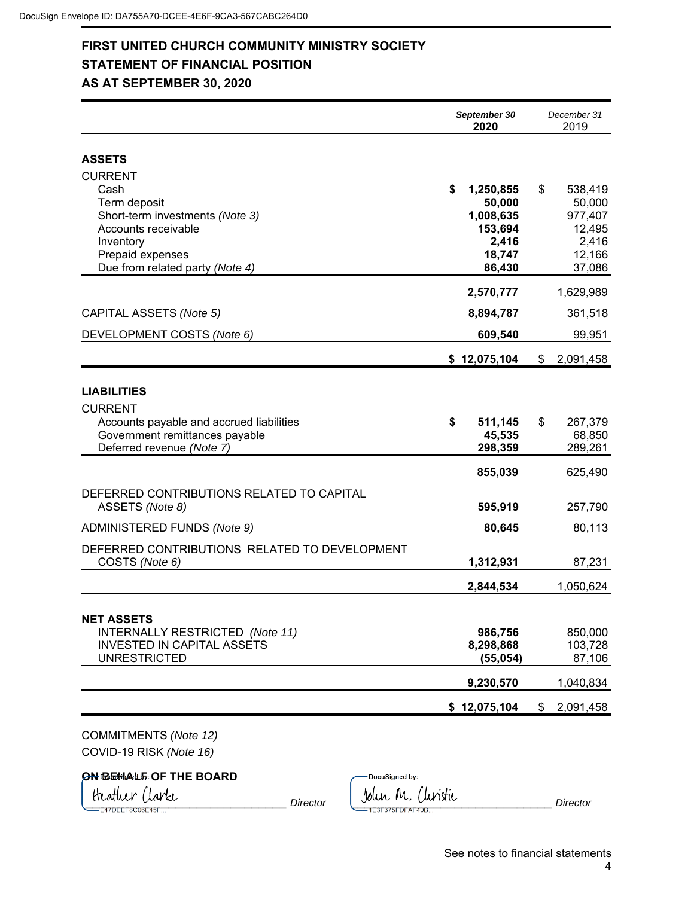### **FIRST UNITED CHURCH COMMUNITY MINISTRY SOCIETY STATEMENT OF FINANCIAL POSITION AS AT SEPTEMBER 30, 2020**

|                                                                                                                                                 | September 30<br>2020 |                                                                | December 31<br>2019                                             |
|-------------------------------------------------------------------------------------------------------------------------------------------------|----------------------|----------------------------------------------------------------|-----------------------------------------------------------------|
| <b>ASSETS</b><br><b>CURRENT</b>                                                                                                                 |                      |                                                                |                                                                 |
| Cash<br>Term deposit<br>Short-term investments (Note 3)<br>Accounts receivable<br>Inventory<br>Prepaid expenses                                 | \$                   | 1,250,855<br>50,000<br>1,008,635<br>153,694<br>2,416<br>18,747 | \$<br>538,419<br>50,000<br>977,407<br>12,495<br>2,416<br>12,166 |
| Due from related party (Note 4)                                                                                                                 |                      | 86,430                                                         | 37,086                                                          |
|                                                                                                                                                 |                      | 2,570,777                                                      | 1,629,989                                                       |
| CAPITAL ASSETS (Note 5)                                                                                                                         |                      | 8,894,787                                                      | 361,518                                                         |
| DEVELOPMENT COSTS (Note 6)                                                                                                                      |                      | 609,540                                                        | 99,951                                                          |
|                                                                                                                                                 |                      | \$12,075,104                                                   | \$<br>2,091,458                                                 |
| <b>LIABILITIES</b><br><b>CURRENT</b><br>Accounts payable and accrued liabilities<br>Government remittances payable<br>Deferred revenue (Note 7) | \$                   | 511,145<br>45,535<br>298,359                                   | \$<br>267,379<br>68,850<br>289,261                              |
| DEFERRED CONTRIBUTIONS RELATED TO CAPITAL<br>ASSETS (Note 8)                                                                                    |                      | 855,039<br>595,919                                             | 625,490<br>257,790                                              |
| ADMINISTERED FUNDS (Note 9)                                                                                                                     |                      | 80,645                                                         | 80,113                                                          |
| DEFERRED CONTRIBUTIONS RELATED TO DEVELOPMENT<br>COSTS (Note 6)                                                                                 |                      | 1,312,931                                                      | 87,231                                                          |
|                                                                                                                                                 |                      | 2,844,534                                                      | 1,050,624                                                       |
| <b>NET ASSETS</b><br>INTERNALLY RESTRICTED (Note 11)<br><b>INVESTED IN CAPITAL ASSETS</b><br><b>UNRESTRICTED</b>                                |                      | 986,756<br>8,298,868<br>(55,054)                               | 850,000<br>103,728<br>87,106                                    |
|                                                                                                                                                 |                      | 9,230,570                                                      | 1,040,834                                                       |
|                                                                                                                                                 |                      | \$12,075,104                                                   | \$<br>2,091,458                                                 |

COMMITMENTS *(Note 12)* COVID-19 RISK *(Note 16)*

## **ON BEHALF OF THE BOARD**

DocuSigned by: Heatluer Clarke Director Library Director Library M. Cluristic Director Director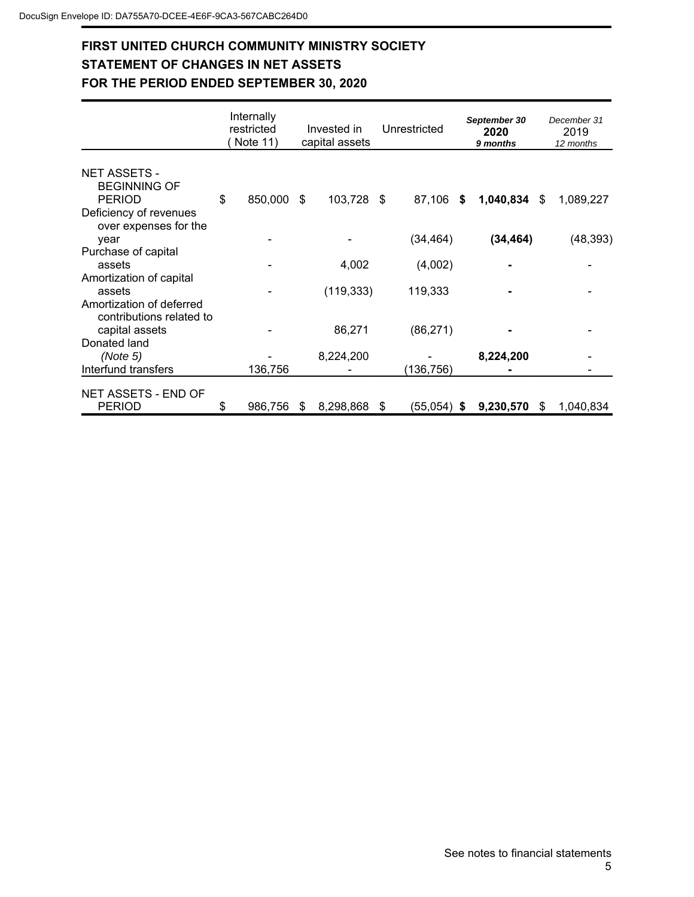## **FIRST UNITED CHURCH COMMUNITY MINISTRY SOCIETY STATEMENT OF CHANGES IN NET ASSETS FOR THE PERIOD ENDED SEPTEMBER 30, 2020**

|                                                             | Internally<br>restricted<br>Note 11) |    | Invested in<br>capital assets |    | Unrestricted  | September 30<br>2020<br>9 months |    | December 31<br>2019<br>12 months |
|-------------------------------------------------------------|--------------------------------------|----|-------------------------------|----|---------------|----------------------------------|----|----------------------------------|
| <b>NET ASSETS -</b><br><b>BEGINNING OF</b><br><b>PERIOD</b> | \$<br>850,000                        | \$ | 103,728                       | \$ | 87,106<br>S.  | 1,040,834                        | S. | 1,089,227                        |
| Deficiency of revenues<br>over expenses for the<br>year     |                                      |    |                               |    | (34, 464)     | (34, 464)                        |    | (48, 393)                        |
| Purchase of capital<br>assets<br>Amortization of capital    |                                      |    | 4,002                         |    | (4,002)       |                                  |    |                                  |
| assets<br>Amortization of deferred                          |                                      |    | (119, 333)                    |    | 119,333       |                                  |    |                                  |
| contributions related to<br>capital assets<br>Donated land  |                                      |    | 86,271                        |    | (86, 271)     |                                  |    |                                  |
| (Note 5)<br>Interfund transfers                             | 136,756                              |    | 8,224,200                     |    | (136,756)     | 8,224,200                        |    |                                  |
| NET ASSETS - END OF<br><b>PERIOD</b>                        | \$<br>986,756                        | S. | 8,298,868                     | S  | $(55,054)$ \$ | 9,230,570                        | S  | 1,040,834                        |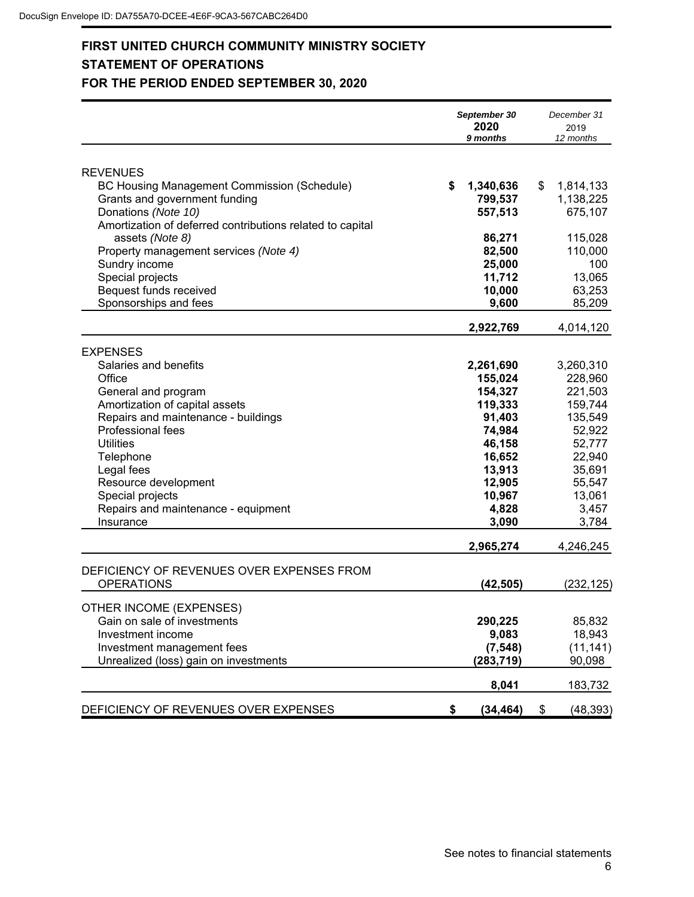## **FIRST UNITED CHURCH COMMUNITY MINISTRY SOCIETY STATEMENT OF OPERATIONS FOR THE PERIOD ENDED SEPTEMBER 30, 2020**

|                                                                                                                                                                                                                                                                                                                                         | September 30<br>2020<br>9 months                                                                                                                | December 31<br>2019<br>12 months                                                                                                                 |
|-----------------------------------------------------------------------------------------------------------------------------------------------------------------------------------------------------------------------------------------------------------------------------------------------------------------------------------------|-------------------------------------------------------------------------------------------------------------------------------------------------|--------------------------------------------------------------------------------------------------------------------------------------------------|
| <b>REVENUES</b><br>BC Housing Management Commission (Schedule)<br>Grants and government funding<br>Donations (Note 10)<br>Amortization of deferred contributions related to capital<br>assets (Note 8)<br>Property management services (Note 4)<br>Sundry income<br>Special projects<br>Bequest funds received<br>Sponsorships and fees | \$<br>1,340,636<br>799,537<br>557,513<br>86,271<br>82,500<br>25,000<br>11,712<br>10,000<br>9,600                                                | \$<br>1,814,133<br>1,138,225<br>675,107<br>115,028<br>110,000<br>100<br>13,065<br>63,253<br>85,209                                               |
|                                                                                                                                                                                                                                                                                                                                         | 2,922,769                                                                                                                                       | 4,014,120                                                                                                                                        |
| <b>EXPENSES</b><br>Salaries and benefits<br>Office<br>General and program<br>Amortization of capital assets<br>Repairs and maintenance - buildings<br>Professional fees<br><b>Utilities</b><br>Telephone<br>Legal fees<br>Resource development<br>Special projects<br>Repairs and maintenance - equipment<br>Insurance                  | 2,261,690<br>155,024<br>154,327<br>119,333<br>91,403<br>74,984<br>46,158<br>16,652<br>13,913<br>12,905<br>10,967<br>4,828<br>3,090<br>2,965,274 | 3,260,310<br>228,960<br>221,503<br>159,744<br>135,549<br>52,922<br>52,777<br>22,940<br>35,691<br>55,547<br>13,061<br>3,457<br>3,784<br>4,246,245 |
| DEFICIENCY OF REVENUES OVER EXPENSES FROM<br><b>OPERATIONS</b>                                                                                                                                                                                                                                                                          | (42, 505)                                                                                                                                       | (232,125)                                                                                                                                        |
| OTHER INCOME (EXPENSES)<br>Gain on sale of investments<br>Investment income<br>Investment management fees<br>Unrealized (loss) gain on investments                                                                                                                                                                                      | 290,225<br>9,083<br>(7, 548)<br>(283, 719)<br>8,041                                                                                             | 85,832<br>18,943<br>(11, 141)<br>90,098<br>183,732                                                                                               |
| DEFICIENCY OF REVENUES OVER EXPENSES                                                                                                                                                                                                                                                                                                    | \$<br>(34, 464)                                                                                                                                 | \$<br>(48, 393)                                                                                                                                  |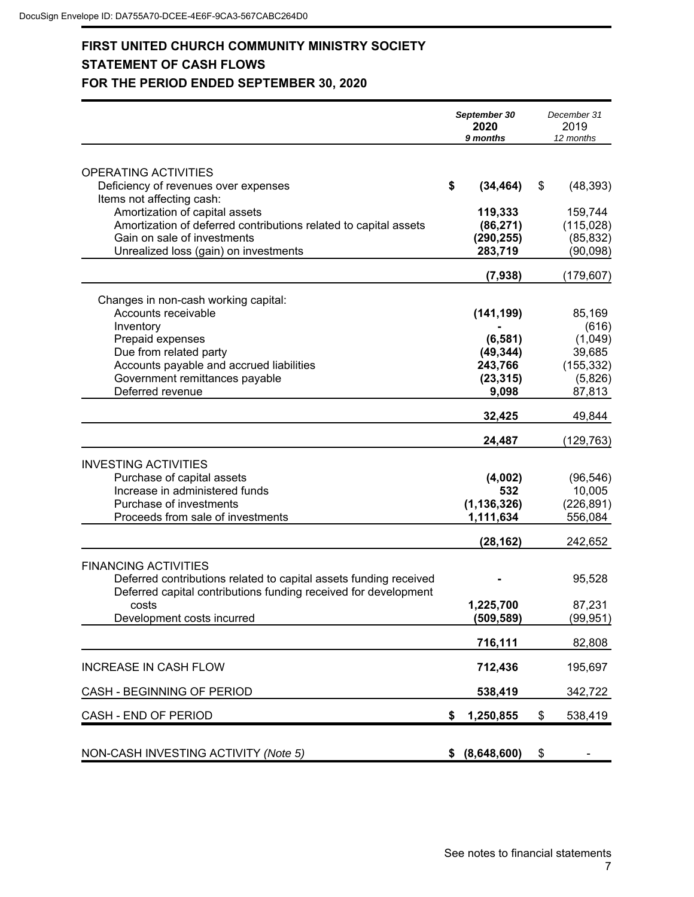## **FIRST UNITED CHURCH COMMUNITY MINISTRY SOCIETY STATEMENT OF CASH FLOWS FOR THE PERIOD ENDED SEPTEMBER 30, 2020**

|                                                                   | September 30<br>2020<br>9 months | December 31<br>2019<br>12 months |
|-------------------------------------------------------------------|----------------------------------|----------------------------------|
| OPERATING ACTIVITIES                                              |                                  |                                  |
| Deficiency of revenues over expenses                              | \$<br>(34, 464)                  | \$<br>(48, 393)                  |
| Items not affecting cash:                                         |                                  |                                  |
| Amortization of capital assets                                    | 119,333                          | 159,744                          |
| Amortization of deferred contributions related to capital assets  | (86, 271)                        | (115,028)                        |
| Gain on sale of investments                                       | (290, 255)                       | (85, 832)                        |
| Unrealized loss (gain) on investments                             | 283,719                          | (90, 098)                        |
|                                                                   | (7,938)                          | (179, 607)                       |
| Changes in non-cash working capital:                              |                                  |                                  |
| Accounts receivable                                               | (141, 199)                       | 85,169                           |
| Inventory                                                         |                                  | (616)                            |
| Prepaid expenses                                                  | (6, 581)                         | (1,049)                          |
| Due from related party                                            | (49, 344)                        | 39,685                           |
| Accounts payable and accrued liabilities                          | 243,766                          | (155, 332)                       |
| Government remittances payable<br>Deferred revenue                | (23, 315)<br>9,098               | (5,826)<br>87,813                |
|                                                                   |                                  |                                  |
|                                                                   | 32,425                           | 49,844                           |
|                                                                   | 24,487                           | (129, 763)                       |
| <b>INVESTING ACTIVITIES</b>                                       |                                  |                                  |
| Purchase of capital assets                                        | (4,002)                          | (96, 546)                        |
| Increase in administered funds                                    | 532                              | 10,005                           |
| Purchase of investments                                           | (1, 136, 326)                    | (226, 891)                       |
| Proceeds from sale of investments                                 | 1,111,634                        | 556,084                          |
|                                                                   | (28, 162)                        | 242,652                          |
| <b>FINANCING ACTIVITIES</b>                                       |                                  |                                  |
| Deferred contributions related to capital assets funding received |                                  | 95,528                           |
| Deferred capital contributions funding received for development   |                                  |                                  |
| costs                                                             | 1,225,700                        | 87,231                           |
| Development costs incurred                                        | (509, 589)                       | (99, 951)                        |
|                                                                   | 716,111                          | 82,808                           |
| <b>INCREASE IN CASH FLOW</b>                                      | 712,436                          | 195,697                          |
|                                                                   |                                  |                                  |
| CASH - BEGINNING OF PERIOD                                        | 538,419                          | 342,722                          |
| CASH - END OF PERIOD                                              | \$<br>1,250,855                  | \$<br>538,419                    |
|                                                                   |                                  |                                  |
| NON-CASH INVESTING ACTIVITY (Note 5)                              | \$ (8,648,600)                   | \$                               |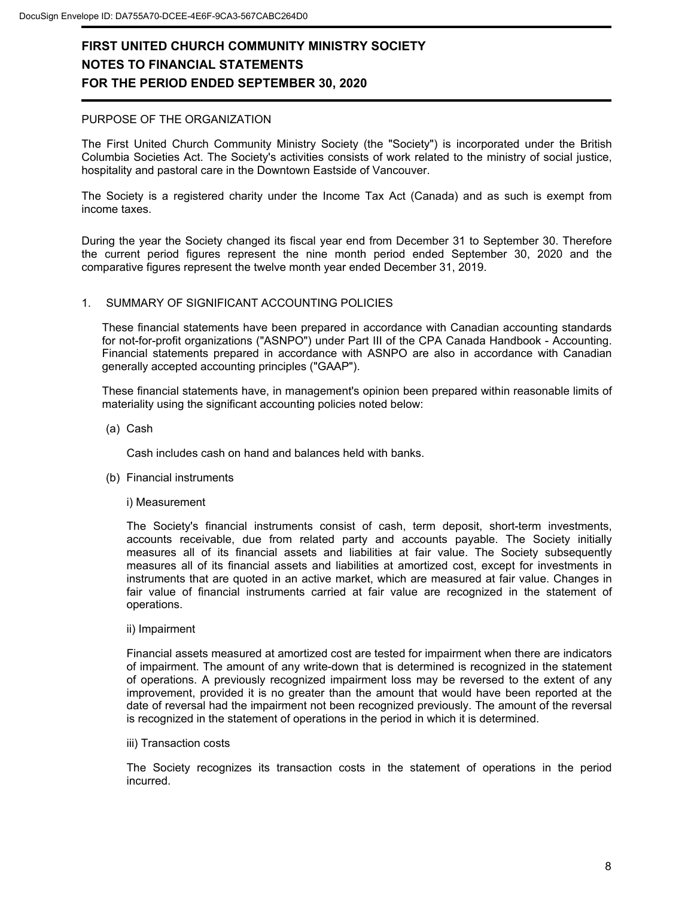### PURPOSE OF THE ORGANIZATION

The First United Church Community Ministry Society (the "Society") is incorporated under the British Columbia Societies Act. The Society's activities consists of work related to the ministry of social justice, hospitality and pastoral care in the Downtown Eastside of Vancouver.

The Society is a registered charity under the Income Tax Act (Canada) and as such is exempt from income taxes.

During the year the Society changed its fiscal year end from December 31 to September 30. Therefore the current period figures represent the nine month period ended September 30, 2020 and the comparative figures represent the twelve month year ended December 31, 2019.

### 1. SUMMARY OF SIGNIFICANT ACCOUNTING POLICIES

These financial statements have been prepared in accordance with Canadian accounting standards for not-for-profit organizations ("ASNPO") under Part III of the CPA Canada Handbook - Accounting. Financial statements prepared in accordance with ASNPO are also in accordance with Canadian generally accepted accounting principles ("GAAP").

These financial statements have, in management's opinion been prepared within reasonable limits of materiality using the significant accounting policies noted below:

(a) Cash

Cash includes cash on hand and balances held with banks.

(b) Financial instruments

#### i) Measurement

The Society's financial instruments consist of cash, term deposit, short-term investments, accounts receivable, due from related party and accounts payable. The Society initially measures all of its financial assets and liabilities at fair value. The Society subsequently measures all of its financial assets and liabilities at amortized cost, except for investments in instruments that are quoted in an active market, which are measured at fair value. Changes in fair value of financial instruments carried at fair value are recognized in the statement of operations.

ii) Impairment

Financial assets measured at amortized cost are tested for impairment when there are indicators of impairment. The amount of any write-down that is determined is recognized in the statement of operations. A previously recognized impairment loss may be reversed to the extent of any improvement, provided it is no greater than the amount that would have been reported at the date of reversal had the impairment not been recognized previously. The amount of the reversal is recognized in the statement of operations in the period in which it is determined.

#### iii) Transaction costs

The Society recognizes its transaction costs in the statement of operations in the period incurred.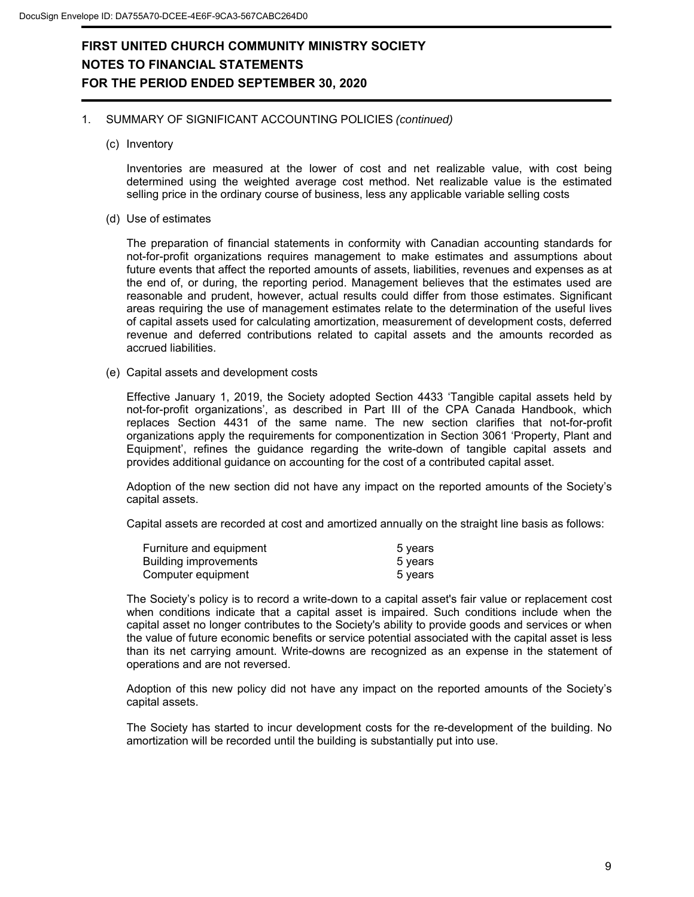### 1. SUMMARY OF SIGNIFICANT ACCOUNTING POLICIES *(continued)*

(c) Inventory

Inventories are measured at the lower of cost and net realizable value, with cost being determined using the weighted average cost method. Net realizable value is the estimated selling price in the ordinary course of business, less any applicable variable selling costs

(d) Use of estimates

The preparation of financial statements in conformity with Canadian accounting standards for not-for-profit organizations requires management to make estimates and assumptions about future events that affect the reported amounts of assets, liabilities, revenues and expenses as at the end of, or during, the reporting period. Management believes that the estimates used are reasonable and prudent, however, actual results could differ from those estimates. Significant areas requiring the use of management estimates relate to the determination of the useful lives of capital assets used for calculating amortization, measurement of development costs, deferred revenue and deferred contributions related to capital assets and the amounts recorded as accrued liabilities.

(e) Capital assets and development costs

Effective January 1, 2019, the Society adopted Section 4433 'Tangible capital assets held by not-for-profit organizations', as described in Part III of the CPA Canada Handbook, which replaces Section 4431 of the same name. The new section clarifies that not-for-profit organizations apply the requirements for componentization in Section 3061 'Property, Plant and Equipment', refines the guidance regarding the write-down of tangible capital assets and provides additional guidance on accounting for the cost of a contributed capital asset.

Adoption of the new section did not have any impact on the reported amounts of the Society's capital assets.

Capital assets are recorded at cost and amortized annually on the straight line basis as follows:

| Furniture and equipment      | 5 years |
|------------------------------|---------|
| <b>Building improvements</b> | 5 years |
| Computer equipment           | 5 vears |

The Society's policy is to record a write-down to a capital asset's fair value or replacement cost when conditions indicate that a capital asset is impaired. Such conditions include when the capital asset no longer contributes to the Society's ability to provide goods and services or when the value of future economic benefits or service potential associated with the capital asset is less than its net carrying amount. Write-downs are recognized as an expense in the statement of operations and are not reversed.

Adoption of this new policy did not have any impact on the reported amounts of the Society's capital assets.

The Society has started to incur development costs for the re-development of the building. No amortization will be recorded until the building is substantially put into use.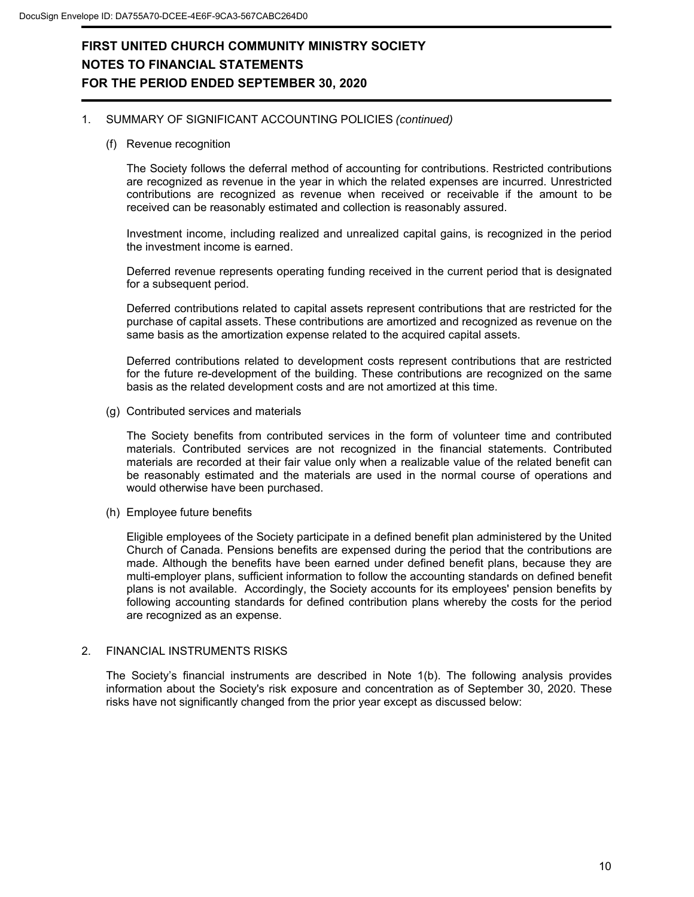### 1. SUMMARY OF SIGNIFICANT ACCOUNTING POLICIES *(continued)*

(f) Revenue recognition

The Society follows the deferral method of accounting for contributions. Restricted contributions are recognized as revenue in the year in which the related expenses are incurred. Unrestricted contributions are recognized as revenue when received or receivable if the amount to be received can be reasonably estimated and collection is reasonably assured.

Investment income, including realized and unrealized capital gains, is recognized in the period the investment income is earned.

Deferred revenue represents operating funding received in the current period that is designated for a subsequent period.

Deferred contributions related to capital assets represent contributions that are restricted for the purchase of capital assets. These contributions are amortized and recognized as revenue on the same basis as the amortization expense related to the acquired capital assets.

Deferred contributions related to development costs represent contributions that are restricted for the future re-development of the building. These contributions are recognized on the same basis as the related development costs and are not amortized at this time.

(g) Contributed services and materials

The Society benefits from contributed services in the form of volunteer time and contributed materials. Contributed services are not recognized in the financial statements. Contributed materials are recorded at their fair value only when a realizable value of the related benefit can be reasonably estimated and the materials are used in the normal course of operations and would otherwise have been purchased.

(h) Employee future benefits

Eligible employees of the Society participate in a defined benefit plan administered by the United Church of Canada. Pensions benefits are expensed during the period that the contributions are made. Although the benefits have been earned under defined benefit plans, because they are multi-employer plans, sufficient information to follow the accounting standards on defined benefit plans is not available. Accordingly, the Society accounts for its employees' pension benefits by following accounting standards for defined contribution plans whereby the costs for the period are recognized as an expense.

### 2. FINANCIAL INSTRUMENTS RISKS

The Society's financial instruments are described in Note 1(b). The following analysis provides information about the Society's risk exposure and concentration as of September 30, 2020. These risks have not significantly changed from the prior year except as discussed below: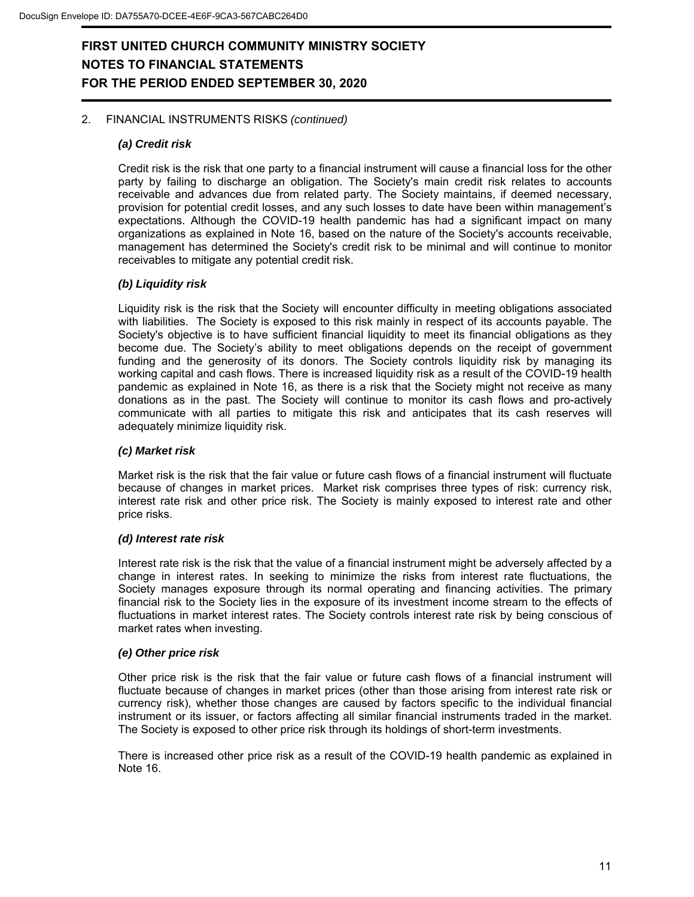### 2. FINANCIAL INSTRUMENTS RISKS *(continued)*

### *(a) Credit risk*

Credit risk is the risk that one party to a financial instrument will cause a financial loss for the other party by failing to discharge an obligation. The Society's main credit risk relates to accounts receivable and advances due from related party. The Society maintains, if deemed necessary, provision for potential credit losses, and any such losses to date have been within management's expectations. Although the COVID-19 health pandemic has had a significant impact on many organizations as explained in Note 16, based on the nature of the Society's accounts receivable, management has determined the Society's credit risk to be minimal and will continue to monitor receivables to mitigate any potential credit risk.

### *(b) Liquidity risk*

Liquidity risk is the risk that the Society will encounter difficulty in meeting obligations associated with liabilities. The Society is exposed to this risk mainly in respect of its accounts payable. The Society's objective is to have sufficient financial liquidity to meet its financial obligations as they become due. The Society's ability to meet obligations depends on the receipt of government funding and the generosity of its donors. The Society controls liquidity risk by managing its working capital and cash flows. There is increased liquidity risk as a result of the COVID-19 health pandemic as explained in Note 16, as there is a risk that the Society might not receive as many donations as in the past. The Society will continue to monitor its cash flows and pro-actively communicate with all parties to mitigate this risk and anticipates that its cash reserves will adequately minimize liquidity risk.

#### *(c) Market risk*

Market risk is the risk that the fair value or future cash flows of a financial instrument will fluctuate because of changes in market prices. Market risk comprises three types of risk: currency risk, interest rate risk and other price risk. The Society is mainly exposed to interest rate and other price risks.

#### *(d) Interest rate risk*

Interest rate risk is the risk that the value of a financial instrument might be adversely affected by a change in interest rates. In seeking to minimize the risks from interest rate fluctuations, the Society manages exposure through its normal operating and financing activities. The primary financial risk to the Society lies in the exposure of its investment income stream to the effects of fluctuations in market interest rates. The Society controls interest rate risk by being conscious of market rates when investing.

### *(e) Other price risk*

Other price risk is the risk that the fair value or future cash flows of a financial instrument will fluctuate because of changes in market prices (other than those arising from interest rate risk or currency risk), whether those changes are caused by factors specific to the individual financial instrument or its issuer, or factors affecting all similar financial instruments traded in the market. The Society is exposed to other price risk through its holdings of short-term investments.

There is increased other price risk as a result of the COVID-19 health pandemic as explained in Note 16.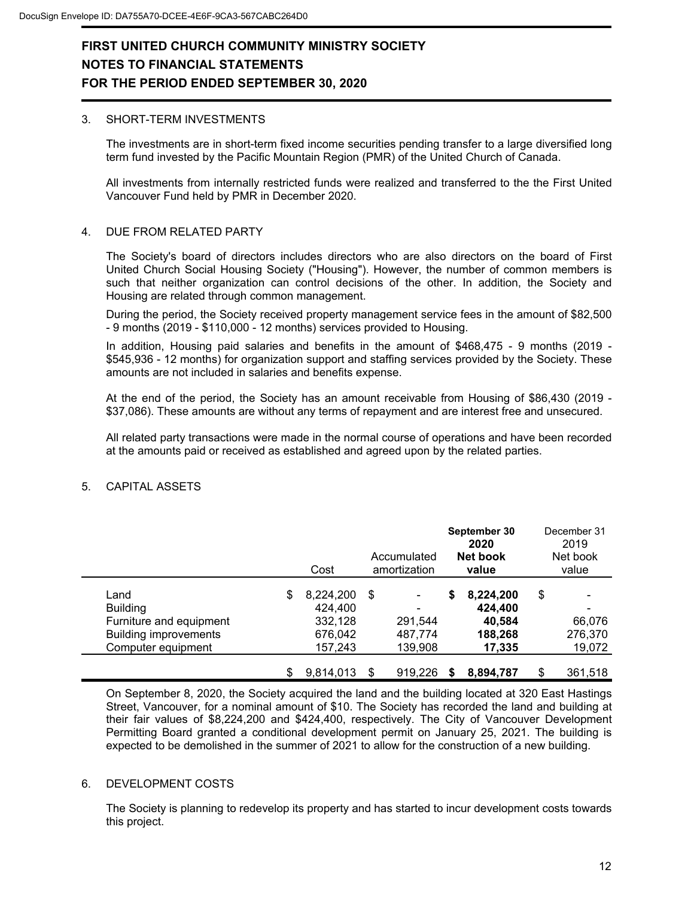#### 3. SHORT-TERM INVESTMENTS

The investments are in short-term fixed income securities pending transfer to a large diversified long term fund invested by the Pacific Mountain Region (PMR) of the United Church of Canada.

All investments from internally restricted funds were realized and transferred to the the First United Vancouver Fund held by PMR in December 2020.

#### 4. DUE FROM RELATED PARTY

The Society's board of directors includes directors who are also directors on the board of First United Church Social Housing Society ("Housing"). However, the number of common members is such that neither organization can control decisions of the other. In addition, the Society and Housing are related through common management.

During the period, the Society received property management service fees in the amount of \$82,500 - 9 months (2019 - \$110,000 - 12 months) services provided to Housing.

In addition, Housing paid salaries and benefits in the amount of \$468,475 - 9 months (2019 - \$545,936 - 12 months) for organization support and staffing services provided by the Society. These amounts are not included in salaries and benefits expense.

At the end of the period, the Society has an amount receivable from Housing of \$86,430 (2019 - \$37,086). These amounts are without any terms of repayment and are interest free and unsecured.

All related party transactions were made in the normal course of operations and have been recorded at the amounts paid or received as established and agreed upon by the related parties.

|                                                                                                          | Cost                                                        |    | Accumulated<br>amortization             |    | September 30<br>2020<br>Net book<br>value           | December 31<br>2019<br>Net book<br>value |
|----------------------------------------------------------------------------------------------------------|-------------------------------------------------------------|----|-----------------------------------------|----|-----------------------------------------------------|------------------------------------------|
| Land<br><b>Building</b><br>Furniture and equipment<br><b>Building improvements</b><br>Computer equipment | \$<br>8,224,200<br>424,400<br>332,128<br>676,042<br>157,243 | \$ | -<br>-<br>291.544<br>487,774<br>139,908 | \$ | 8,224,200<br>424,400<br>40.584<br>188,268<br>17,335 | \$<br>66,076<br>276,370<br>19,072        |
|                                                                                                          | 9.814.013                                                   | S  | 919,226                                 | S  | 8,894,787                                           | \$<br>361,518                            |

### 5. CAPITAL ASSETS

On September 8, 2020, the Society acquired the land and the building located at 320 East Hastings Street, Vancouver, for a nominal amount of \$10. The Society has recorded the land and building at their fair values of \$8,224,200 and \$424,400, respectively. The City of Vancouver Development Permitting Board granted a conditional development permit on January 25, 2021. The building is expected to be demolished in the summer of 2021 to allow for the construction of a new building.

#### 6. DEVELOPMENT COSTS

The Society is planning to redevelop its property and has started to incur development costs towards this project.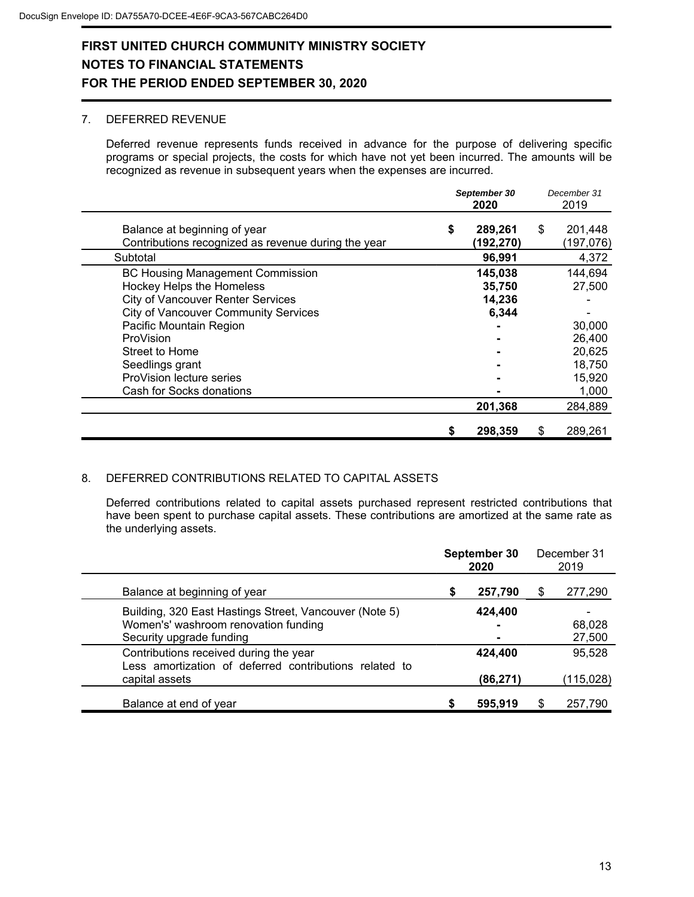### 7. DEFERRED REVENUE

Deferred revenue represents funds received in advance for the purpose of delivering specific programs or special projects, the costs for which have not yet been incurred. The amounts will be recognized as revenue in subsequent years when the expenses are incurred.

|                                                                                         | September 30<br>2020 |                      | December 31<br>2019 |                      |
|-----------------------------------------------------------------------------------------|----------------------|----------------------|---------------------|----------------------|
| Balance at beginning of year<br>Contributions recognized as revenue during the year     | \$                   | 289,261<br>(192,270) | \$                  | 201,448<br>(197,076) |
| Subtotal                                                                                |                      | 96,991               |                     | 4,372                |
| <b>BC Housing Management Commission</b><br>Hockey Helps the Homeless                    |                      | 145,038<br>35,750    |                     | 144,694<br>27,500    |
| <b>City of Vancouver Renter Services</b><br><b>City of Vancouver Community Services</b> |                      | 14,236<br>6,344      |                     |                      |
| Pacific Mountain Region<br>ProVision                                                    |                      |                      |                     | 30,000<br>26,400     |
| Street to Home<br>Seedlings grant                                                       |                      |                      |                     | 20,625<br>18,750     |
| ProVision lecture series<br>Cash for Socks donations                                    |                      |                      |                     | 15,920<br>1,000      |
|                                                                                         |                      | 201,368              |                     | 284,889              |
|                                                                                         | \$                   | 298,359              | S                   | 289,261              |

### 8. DEFERRED CONTRIBUTIONS RELATED TO CAPITAL ASSETS

Deferred contributions related to capital assets purchased represent restricted contributions that have been spent to purchase capital assets. These contributions are amortized at the same rate as the underlying assets.

|                                                                                                                            | September 30<br>2020 |                                |    | December 31<br>2019  |
|----------------------------------------------------------------------------------------------------------------------------|----------------------|--------------------------------|----|----------------------|
| Balance at beginning of year                                                                                               | S                    | 257,790                        | \$ | 277,290              |
| Building, 320 East Hastings Street, Vancouver (Note 5)<br>Women's' washroom renovation funding<br>Security upgrade funding |                      | 424,400<br>۰<br>$\blacksquare$ |    | 68,028<br>27,500     |
| Contributions received during the year<br>Less amortization of deferred contributions related to<br>capital assets         |                      | 424,400<br>(86, 271)           |    | 95,528<br>(115, 028) |
| Balance at end of year                                                                                                     |                      | 595,919                        | S  | 257,790              |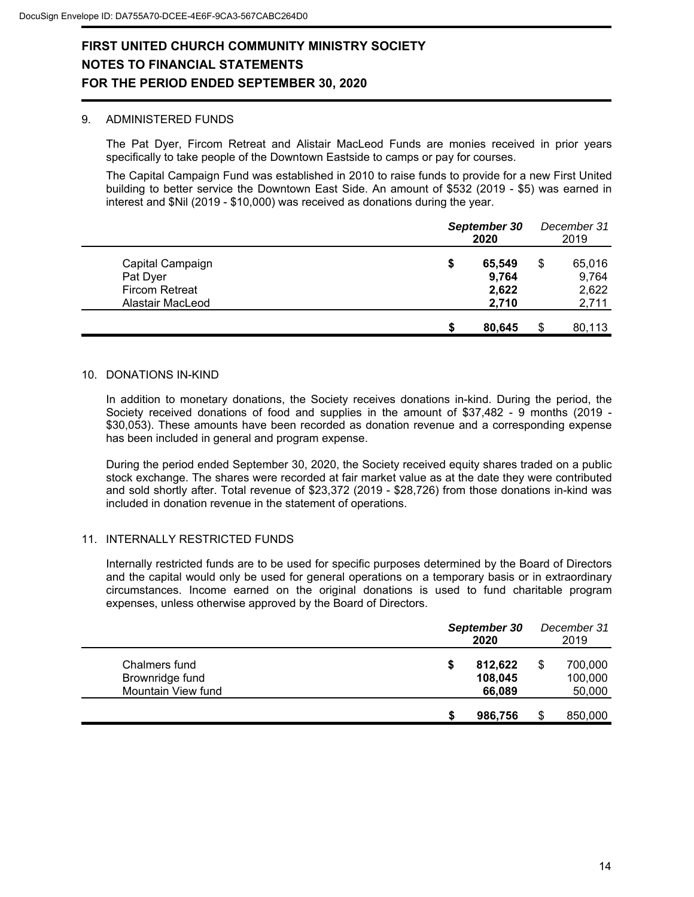#### 9. ADMINISTERED FUNDS

The Pat Dyer, Fircom Retreat and Alistair MacLeod Funds are monies received in prior years specifically to take people of the Downtown Eastside to camps or pay for courses.

The Capital Campaign Fund was established in 2010 to raise funds to provide for a new First United building to better service the Downtown East Side. An amount of \$532 (2019 - \$5) was earned in interest and \$Nil (2019 - \$10,000) was received as donations during the year.

|                                                                           |    | September 30<br>2020              | December 31<br>2019                     |
|---------------------------------------------------------------------------|----|-----------------------------------|-----------------------------------------|
| Capital Campaign<br>Pat Dyer<br><b>Fircom Retreat</b><br>Alastair MacLeod | \$ | 65,549<br>9,764<br>2,622<br>2,710 | \$<br>65,016<br>9,764<br>2,622<br>2,711 |
|                                                                           | S  | 80,645                            | \$<br>80,113                            |

### 10. DONATIONS IN-KIND

In addition to monetary donations, the Society receives donations in-kind. During the period, the Society received donations of food and supplies in the amount of \$37,482 - 9 months (2019 - \$30,053). These amounts have been recorded as donation revenue and a corresponding expense has been included in general and program expense.

During the period ended September 30, 2020, the Society received equity shares traded on a public stock exchange. The shares were recorded at fair market value as at the date they were contributed and sold shortly after. Total revenue of \$23,372 (2019 - \$28,726) from those donations in-kind was included in donation revenue in the statement of operations.

### 11. INTERNALLY RESTRICTED FUNDS

Internally restricted funds are to be used for specific purposes determined by the Board of Directors and the capital would only be used for general operations on a temporary basis or in extraordinary circumstances. Income earned on the original donations is used to fund charitable program expenses, unless otherwise approved by the Board of Directors.

|                                                        | September 30<br>2020 |                              |  | December 31<br>2019          |  |  |
|--------------------------------------------------------|----------------------|------------------------------|--|------------------------------|--|--|
| Chalmers fund<br>Brownridge fund<br>Mountain View fund | S                    | 812,622<br>108,045<br>66,089 |  | 700,000<br>100,000<br>50,000 |  |  |
|                                                        |                      | 986,756                      |  | 850,000                      |  |  |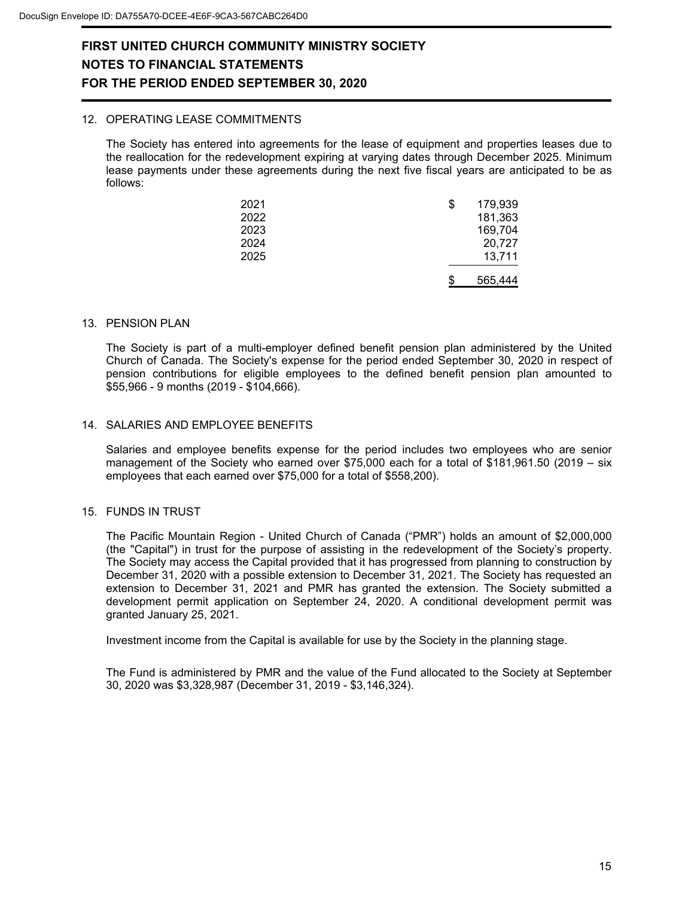### 12. OPERATING LEASE COMMITMENTS

The Society has entered into agreements for the lease of equipment and properties leases due to the reallocation for the redevelopment expiring at varying dates through December 2025. Minimum lease payments under these agreements during the next five fiscal years are anticipated to be as follows:

| 2021 | \$<br>179,939 |
|------|---------------|
| 2022 | 181,363       |
| 2023 | 169,704       |
| 2024 | 20,727        |
| 2025 | 13,711        |
|      | 565.444       |

#### 13. PENSION PLAN

The Society is part of a multi-employer defined benefit pension plan administered by the United Church of Canada. The Society's expense for the period ended September 30, 2020 in respect of pension contributions for eligible employees to the defined benefit pension plan amounted to \$55,966 - 9 months (2019 - \$104,666).

### 14. SALARIES AND EMPLOYEE BENEFITS

Salaries and employee benefits expense for the period includes two employees who are senior management of the Society who earned over \$75,000 each for a total of \$181,961.50 (2019 – six employees that each earned over \$75,000 for a total of \$558,200).

#### 15. FUNDS IN TRUST

The Pacific Mountain Region - United Church of Canada ("PMR") holds an amount of \$2,000,000 (the "Capital") in trust for the purpose of assisting in the redevelopment of the Society's property. The Society may access the Capital provided that it has progressed from planning to construction by December 31, 2020 with a possible extension to December 31, 2021. The Society has requested an extension to December 31, 2021 and PMR has granted the extension. The Society submitted a development permit application on September 24, 2020. A conditional development permit was granted January 25, 2021.

Investment income from the Capital is available for use by the Society in the planning stage.

The Fund is administered by PMR and the value of the Fund allocated to the Society at September 30, 2020 was \$3,328,987 (December 31, 2019 - \$3,146,324).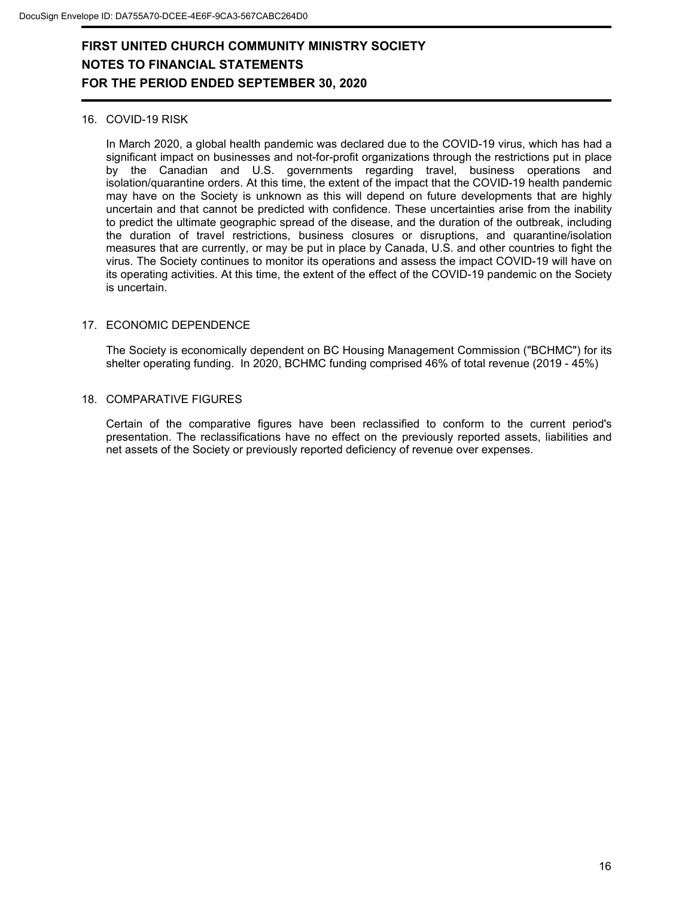### 16. COVID-19 RISK

In March 2020, a global health pandemic was declared due to the COVID-19 virus, which has had a significant impact on businesses and not-for-profit organizations through the restrictions put in place by the Canadian and U.S. governments regarding travel, business operations and isolation/quarantine orders. At this time, the extent of the impact that the COVID-19 health pandemic may have on the Society is unknown as this will depend on future developments that are highly uncertain and that cannot be predicted with confidence. These uncertainties arise from the inability to predict the ultimate geographic spread of the disease, and the duration of the outbreak, including the duration of travel restrictions, business closures or disruptions, and quarantine/isolation measures that are currently, or may be put in place by Canada, U.S. and other countries to fight the virus. The Society continues to monitor its operations and assess the impact COVID-19 will have on its operating activities. At this time, the extent of the effect of the COVID-19 pandemic on the Society is uncertain.

### 17. ECONOMIC DEPENDENCE

The Society is economically dependent on BC Housing Management Commission ("BCHMC") for its shelter operating funding. In 2020, BCHMC funding comprised 46% of total revenue (2019 - 45%)

### 18. COMPARATIVE FIGURES

Certain of the comparative figures have been reclassified to conform to the current period's presentation. The reclassifications have no effect on the previously reported assets, liabilities and net assets of the Society or previously reported deficiency of revenue over expenses.